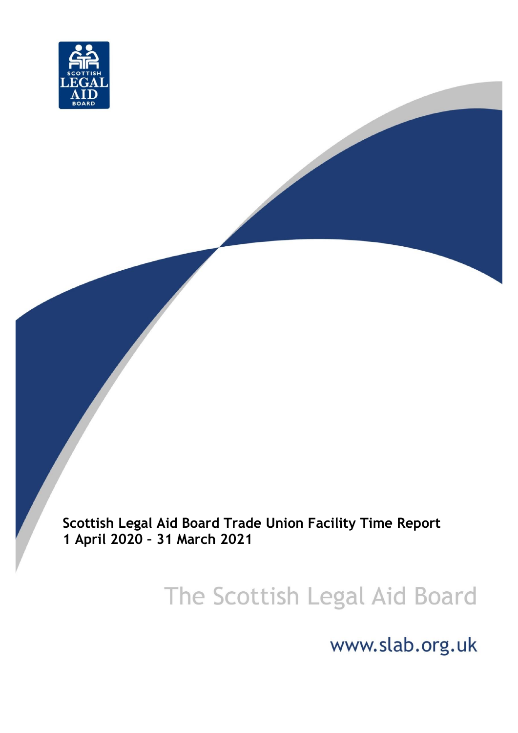

**Scottish Legal Aid Board Trade Union Facility Time Report 1 April 2020 – 31 March 2021**

# The Scottish Legal Aid Board

www.slab.org.uk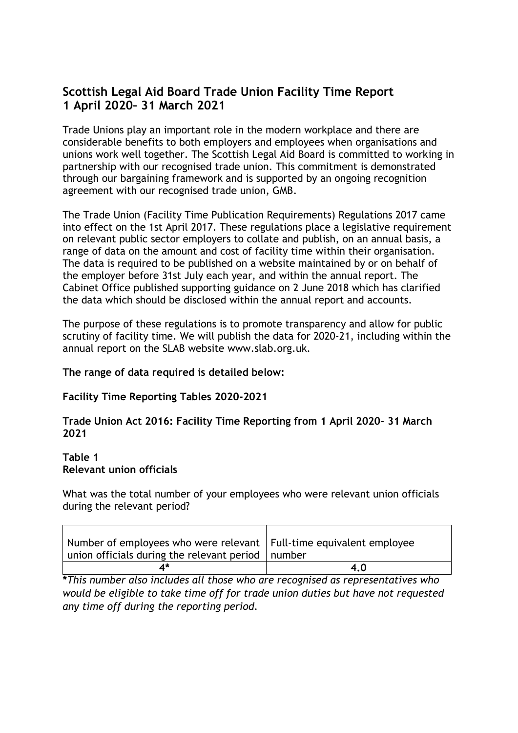# **Scottish Legal Aid Board Trade Union Facility Time Report 1 April 2020– 31 March 2021**

Trade Unions play an important role in the modern workplace and there are considerable benefits to both employers and employees when organisations and unions work well together. The Scottish Legal Aid Board is committed to working in partnership with our recognised trade union. This commitment is demonstrated through our bargaining framework and is supported by an ongoing recognition agreement with our recognised trade union, GMB.

The Trade Union (Facility Time Publication Requirements) Regulations 2017 came into effect on the 1st April 2017. These regulations place a legislative requirement on relevant public sector employers to collate and publish, on an annual basis, a range of data on the amount and cost of facility time within their organisation. The data is required to be published on a website maintained by or on behalf of the employer before 31st July each year, and within the annual report. The Cabinet Office published supporting guidance on 2 June 2018 which has clarified the data which should be disclosed within the annual report and accounts.

The purpose of these regulations is to promote transparency and allow for public scrutiny of facility time. We will publish the data for 2020-21, including within the annual report on the SLAB website www.slab.org.uk.

#### **The range of data required is detailed below:**

#### **Facility Time Reporting Tables 2020-2021**

#### **Trade Union Act 2016: Facility Time Reporting from 1 April 2020- 31 March 2021**

### **Table 1 Relevant union officials**

What was the total number of your employees who were relevant union officials during the relevant period?

| Number of employees who were relevant   Full-time equivalent employee<br>union officials during the relevant period   number |     |
|------------------------------------------------------------------------------------------------------------------------------|-----|
|                                                                                                                              | 4.0 |

**\****This number also includes all those who are recognised as representatives who would be eligible to take time off for trade union duties but have not requested any time off during the reporting period.*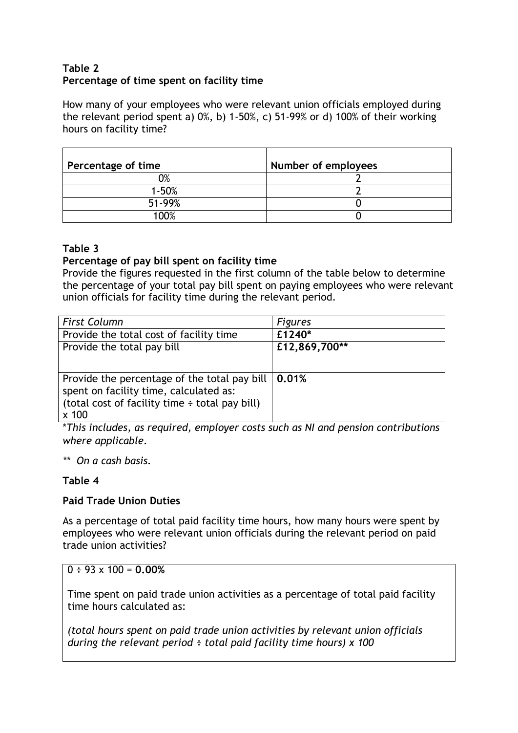# **Table 2 Percentage of time spent on facility time**

How many of your employees who were relevant union officials employed during the relevant period spent a) 0%, b) 1-50%, c) 51-99% or d) 100% of their working hours on facility time?

| Percentage of time | Number of employees |
|--------------------|---------------------|
| 0%                 |                     |
| $1 - 50%$          |                     |
| 51-99%             |                     |
| 100%               |                     |

### **Table 3**

#### **Percentage of pay bill spent on facility time**

Provide the figures requested in the first column of the table below to determine the percentage of your total pay bill spent on paying employees who were relevant union officials for facility time during the relevant period.

| <b>First Column</b>                                        | <b>Figures</b> |
|------------------------------------------------------------|----------------|
| Provide the total cost of facility time                    | £1240*         |
| Provide the total pay bill                                 | £12,869,700**  |
|                                                            |                |
|                                                            |                |
|                                                            |                |
| spent on facility time, calculated as:                     |                |
| (total cost of facility time : total pay bill)             |                |
| $x$ 100                                                    |                |
| Provide the percentage of the total pay bill $\vert$ 0.01% |                |

\**This includes, as required, employer costs such as NI and pension contributions where applicable.*

*\*\* On a cash basis.*

# **Table 4**

# **Paid Trade Union Duties**

As a percentage of total paid facility time hours, how many hours were spent by employees who were relevant union officials during the relevant period on paid trade union activities?

 $0 \div 93 \times 100 = 0.00\%$ 

Time spent on paid trade union activities as a percentage of total paid facility time hours calculated as:

*(total hours spent on paid trade union activities by relevant union officials during the relevant period ÷ total paid facility time hours) x 100*